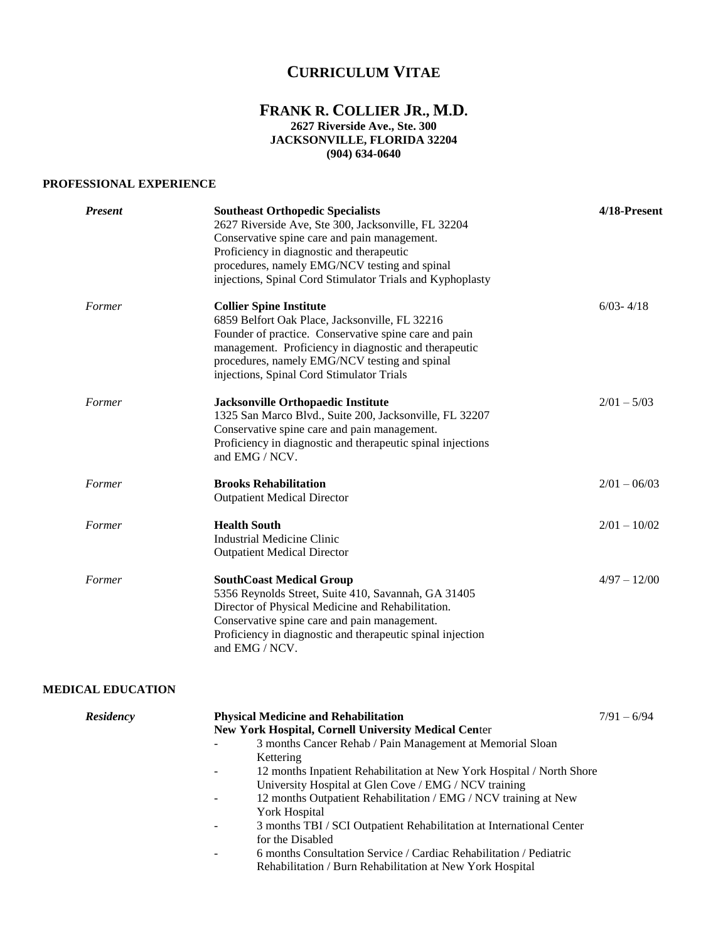# **CURRICULUM VITAE**

## **FRANK R. COLLIER JR., M.D. 2627 Riverside Ave., Ste. 300 JACKSONVILLE, FLORIDA 32204 (904) 634-0640**

## **PROFESSIONAL EXPERIENCE**

| <b>Present</b> | <b>Southeast Orthopedic Specialists</b><br>2627 Riverside Ave, Ste 300, Jacksonville, FL 32204<br>Conservative spine care and pain management.<br>Proficiency in diagnostic and therapeutic<br>procedures, namely EMG/NCV testing and spinal<br>injections, Spinal Cord Stimulator Trials and Kyphoplasty | 4/18-Present   |
|----------------|-----------------------------------------------------------------------------------------------------------------------------------------------------------------------------------------------------------------------------------------------------------------------------------------------------------|----------------|
| Former         | <b>Collier Spine Institute</b><br>6859 Belfort Oak Place, Jacksonville, FL 32216<br>Founder of practice. Conservative spine care and pain<br>management. Proficiency in diagnostic and therapeutic<br>procedures, namely EMG/NCV testing and spinal<br>injections, Spinal Cord Stimulator Trials          | $6/03 - 4/18$  |
| Former         | Jacksonville Orthopaedic Institute<br>1325 San Marco Blvd., Suite 200, Jacksonville, FL 32207<br>Conservative spine care and pain management.<br>Proficiency in diagnostic and therapeutic spinal injections<br>and EMG / NCV.                                                                            | $2/01 - 5/03$  |
| Former         | <b>Brooks Rehabilitation</b><br><b>Outpatient Medical Director</b>                                                                                                                                                                                                                                        | $2/01 - 06/03$ |
| Former         | <b>Health South</b><br>Industrial Medicine Clinic<br><b>Outpatient Medical Director</b>                                                                                                                                                                                                                   | $2/01 - 10/02$ |
| Former         | <b>SouthCoast Medical Group</b><br>5356 Reynolds Street, Suite 410, Savannah, GA 31405<br>Director of Physical Medicine and Rehabilitation.<br>Conservative spine care and pain management.<br>Proficiency in diagnostic and therapeutic spinal injection<br>and EMG / NCV.                               | $4/97 - 12/00$ |

#### **MEDICAL EDUCATION**

| Residency | <b>Physical Medicine and Rehabilitation</b><br>$7/91 - 6/94$                                   |  |  |  |
|-----------|------------------------------------------------------------------------------------------------|--|--|--|
|           | <b>New York Hospital, Cornell University Medical Center</b>                                    |  |  |  |
|           | 3 months Cancer Rehab / Pain Management at Memorial Sloan                                      |  |  |  |
|           | Kettering                                                                                      |  |  |  |
|           | 12 months Inpatient Rehabilitation at New York Hospital / North Shore<br>-                     |  |  |  |
|           | University Hospital at Glen Cove / EMG / NCV training                                          |  |  |  |
|           | 12 months Outpatient Rehabilitation / EMG / NCV training at New<br>۰.                          |  |  |  |
|           | York Hospital                                                                                  |  |  |  |
|           | 3 months TBI / SCI Outpatient Rehabilitation at International Center<br>-                      |  |  |  |
|           | for the Disabled                                                                               |  |  |  |
|           | 6 months Consultation Service / Cardiac Rehabilitation / Pediatric<br>$\overline{\phantom{0}}$ |  |  |  |
|           | Rehabilitation / Burn Rehabilitation at New York Hospital                                      |  |  |  |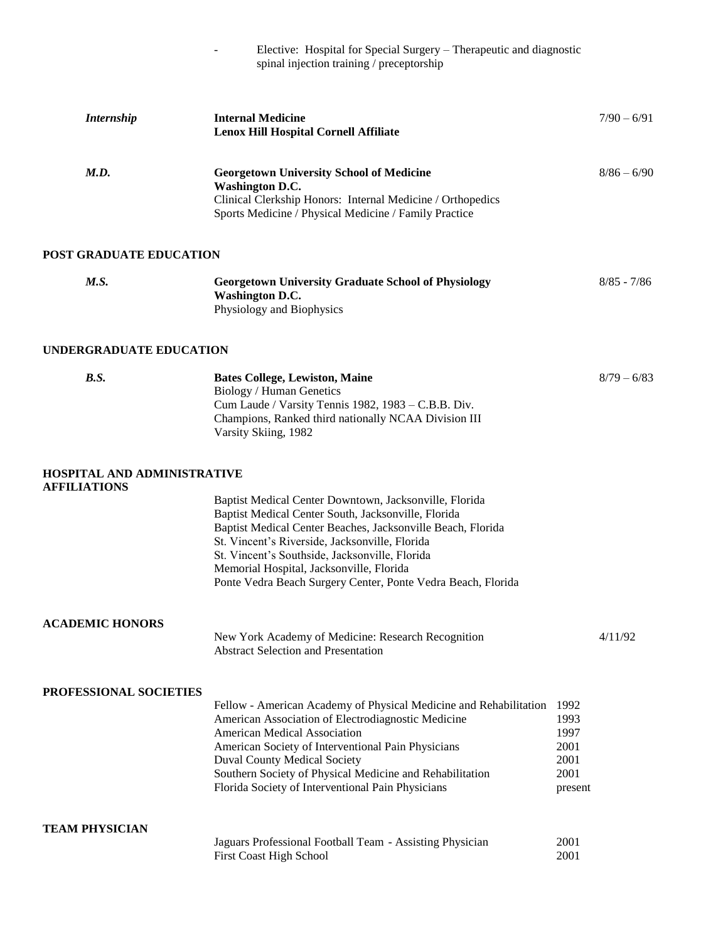- Elective: Hospital for Special Surgery – Therapeutic and diagnostic spinal injection training / preceptorship

| <b>Internship</b>                                  | <b>Internal Medicine</b><br><b>Lenox Hill Hospital Cornell Affiliate</b>                                                                                                                                                                                                                                                                                                                     |                                                         | $7/90 - 6/91$ |  |
|----------------------------------------------------|----------------------------------------------------------------------------------------------------------------------------------------------------------------------------------------------------------------------------------------------------------------------------------------------------------------------------------------------------------------------------------------------|---------------------------------------------------------|---------------|--|
| M.D.                                               | <b>Georgetown University School of Medicine</b><br><b>Washington D.C.</b><br>Clinical Clerkship Honors: Internal Medicine / Orthopedics<br>Sports Medicine / Physical Medicine / Family Practice                                                                                                                                                                                             |                                                         | $8/86 - 6/90$ |  |
| <b>POST GRADUATE EDUCATION</b>                     |                                                                                                                                                                                                                                                                                                                                                                                              |                                                         |               |  |
| M.S.                                               | <b>Georgetown University Graduate School of Physiology</b><br><b>Washington D.C.</b><br>Physiology and Biophysics                                                                                                                                                                                                                                                                            |                                                         | $8/85 - 7/86$ |  |
| UNDERGRADUATE EDUCATION                            |                                                                                                                                                                                                                                                                                                                                                                                              |                                                         |               |  |
| B.S.                                               | <b>Bates College, Lewiston, Maine</b><br>Biology / Human Genetics<br>Cum Laude / Varsity Tennis 1982, 1983 - C.B.B. Div.<br>Champions, Ranked third nationally NCAA Division III<br>Varsity Skiing, 1982                                                                                                                                                                                     |                                                         | $8/79 - 6/83$ |  |
| HOSPITAL AND ADMINISTRATIVE<br><b>AFFILIATIONS</b> |                                                                                                                                                                                                                                                                                                                                                                                              |                                                         |               |  |
|                                                    | Baptist Medical Center Downtown, Jacksonville, Florida<br>Baptist Medical Center South, Jacksonville, Florida<br>Baptist Medical Center Beaches, Jacksonville Beach, Florida<br>St. Vincent's Riverside, Jacksonville, Florida<br>St. Vincent's Southside, Jacksonville, Florida<br>Memorial Hospital, Jacksonville, Florida<br>Ponte Vedra Beach Surgery Center, Ponte Vedra Beach, Florida |                                                         |               |  |
| <b>ACADEMIC HONORS</b>                             | New York Academy of Medicine: Research Recognition<br><b>Abstract Selection and Presentation</b>                                                                                                                                                                                                                                                                                             |                                                         | 4/11/92       |  |
| PROFESSIONAL SOCIETIES                             | Fellow - American Academy of Physical Medicine and Rehabilitation<br>American Association of Electrodiagnostic Medicine<br><b>American Medical Association</b><br>American Society of Interventional Pain Physicians<br><b>Duval County Medical Society</b><br>Southern Society of Physical Medicine and Rehabilitation<br>Florida Society of Interventional Pain Physicians                 | 1992<br>1993<br>1997<br>2001<br>2001<br>2001<br>present |               |  |
| <b>TEAM PHYSICIAN</b>                              | Jaguars Professional Football Team - Assisting Physician<br>First Coast High School                                                                                                                                                                                                                                                                                                          | 2001<br>2001                                            |               |  |